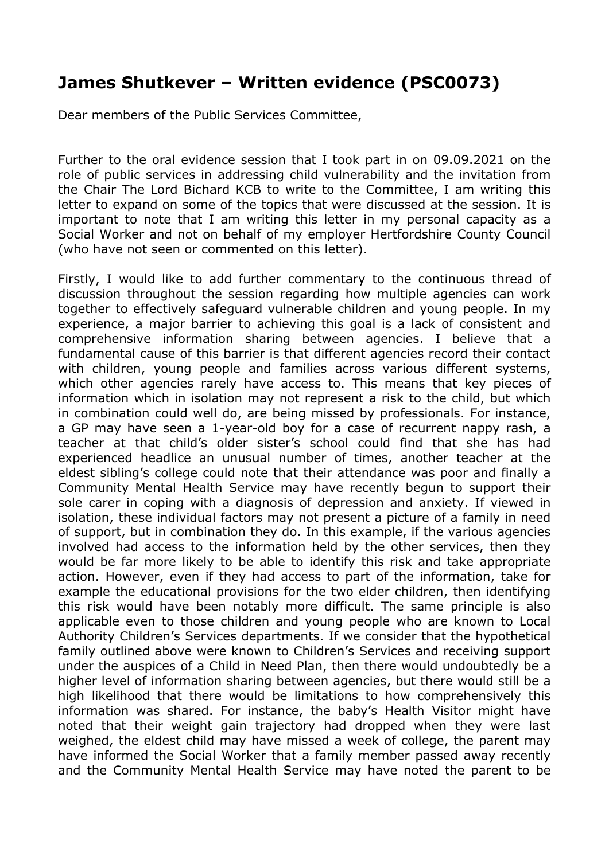## **James Shutkever – Written evidence (PSC0073)**

Dear members of the Public Services Committee,

Further to the oral evidence session that I took part in on 09.09.2021 on the role of public services in addressing child vulnerability and the invitation from the Chair The Lord Bichard KCB to write to the Committee, I am writing this letter to expand on some of the topics that were discussed at the session. It is important to note that I am writing this letter in my personal capacity as a Social Worker and not on behalf of my employer Hertfordshire County Council (who have not seen or commented on this letter).

Firstly, I would like to add further commentary to the continuous thread of discussion throughout the session regarding how multiple agencies can work together to effectively safeguard vulnerable children and young people. In my experience, a major barrier to achieving this goal is a lack of consistent and comprehensive information sharing between agencies. I believe that a fundamental cause of this barrier is that different agencies record their contact with children, young people and families across various different systems, which other agencies rarely have access to. This means that key pieces of information which in isolation may not represent a risk to the child, but which in combination could well do, are being missed by professionals. For instance, a GP may have seen a 1-year-old boy for a case of recurrent nappy rash, a teacher at that child's older sister's school could find that she has had experienced headlice an unusual number of times, another teacher at the eldest sibling's college could note that their attendance was poor and finally a Community Mental Health Service may have recently begun to support their sole carer in coping with a diagnosis of depression and anxiety. If viewed in isolation, these individual factors may not present a picture of a family in need of support, but in combination they do. In this example, if the various agencies involved had access to the information held by the other services, then they would be far more likely to be able to identify this risk and take appropriate action. However, even if they had access to part of the information, take for example the educational provisions for the two elder children, then identifying this risk would have been notably more difficult. The same principle is also applicable even to those children and young people who are known to Local Authority Children's Services departments. If we consider that the hypothetical family outlined above were known to Children's Services and receiving support under the auspices of a Child in Need Plan, then there would undoubtedly be a higher level of information sharing between agencies, but there would still be a high likelihood that there would be limitations to how comprehensively this information was shared. For instance, the baby's Health Visitor might have noted that their weight gain trajectory had dropped when they were last weighed, the eldest child may have missed a week of college, the parent may have informed the Social Worker that a family member passed away recently and the Community Mental Health Service may have noted the parent to be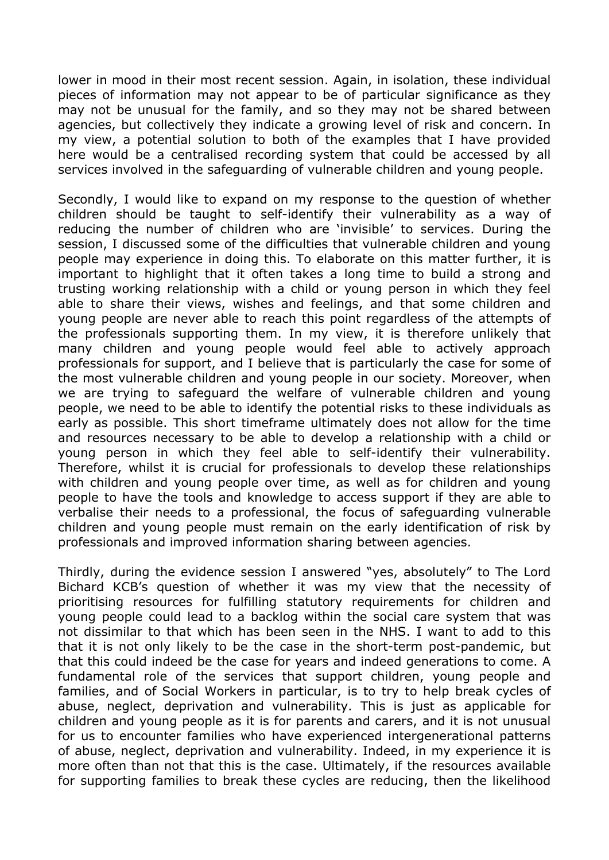lower in mood in their most recent session. Again, in isolation, these individual pieces of information may not appear to be of particular significance as they may not be unusual for the family, and so they may not be shared between agencies, but collectively they indicate a growing level of risk and concern. In my view, a potential solution to both of the examples that I have provided here would be a centralised recording system that could be accessed by all services involved in the safeguarding of vulnerable children and young people.

Secondly, I would like to expand on my response to the question of whether children should be taught to self-identify their vulnerability as a way of reducing the number of children who are 'invisible' to services. During the session, I discussed some of the difficulties that vulnerable children and young people may experience in doing this. To elaborate on this matter further, it is important to highlight that it often takes a long time to build a strong and trusting working relationship with a child or young person in which they feel able to share their views, wishes and feelings, and that some children and young people are never able to reach this point regardless of the attempts of the professionals supporting them. In my view, it is therefore unlikely that many children and young people would feel able to actively approach professionals for support, and I believe that is particularly the case for some of the most vulnerable children and young people in our society. Moreover, when we are trying to safeguard the welfare of vulnerable children and young people, we need to be able to identify the potential risks to these individuals as early as possible. This short timeframe ultimately does not allow for the time and resources necessary to be able to develop a relationship with a child or young person in which they feel able to self-identify their vulnerability. Therefore, whilst it is crucial for professionals to develop these relationships with children and young people over time, as well as for children and young people to have the tools and knowledge to access support if they are able to verbalise their needs to a professional, the focus of safeguarding vulnerable children and young people must remain on the early identification of risk by professionals and improved information sharing between agencies.

Thirdly, during the evidence session I answered "yes, absolutely" to The Lord Bichard KCB's question of whether it was my view that the necessity of prioritising resources for fulfilling statutory requirements for children and young people could lead to a backlog within the social care system that was not dissimilar to that which has been seen in the NHS. I want to add to this that it is not only likely to be the case in the short-term post-pandemic, but that this could indeed be the case for years and indeed generations to come. A fundamental role of the services that support children, young people and families, and of Social Workers in particular, is to try to help break cycles of abuse, neglect, deprivation and vulnerability. This is just as applicable for children and young people as it is for parents and carers, and it is not unusual for us to encounter families who have experienced intergenerational patterns of abuse, neglect, deprivation and vulnerability. Indeed, in my experience it is more often than not that this is the case. Ultimately, if the resources available for supporting families to break these cycles are reducing, then the likelihood